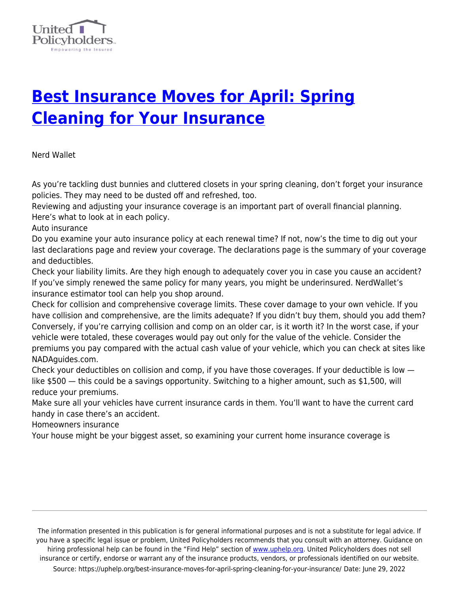

## **[Best Insurance Moves for April: Spring](https://uphelp.org/best-insurance-moves-for-april-spring-cleaning-for-your-insurance/) [Cleaning for Your Insurance](https://uphelp.org/best-insurance-moves-for-april-spring-cleaning-for-your-insurance/)**

Nerd Wallet

As you're tackling dust bunnies and cluttered closets in your spring cleaning, don't forget your insurance policies. They may need to be dusted off and refreshed, too.

Reviewing and adjusting your insurance coverage is an important part of overall financial planning. Here's what to look at in each policy.

Auto insurance

Do you examine your auto insurance policy at each renewal time? If not, now's the time to dig out your last declarations page and review your coverage. The declarations page is the summary of your coverage and deductibles.

Check your liability limits. Are they high enough to adequately cover you in case you cause an accident? If you've simply renewed the same policy for many years, you might be underinsured. NerdWallet's insurance estimator tool can help you shop around.

Check for collision and comprehensive coverage limits. These cover damage to your own vehicle. If you have collision and comprehensive, are the limits adequate? If you didn't buy them, should you add them? Conversely, if you're carrying collision and comp on an older car, is it worth it? In the worst case, if your vehicle were totaled, these coverages would pay out only for the value of the vehicle. Consider the premiums you pay compared with the actual cash value of your vehicle, which you can check at sites like NADAguides.com.

Check your deductibles on collision and comp, if you have those coverages. If your deductible is low like \$500 — this could be a savings opportunity. Switching to a higher amount, such as \$1,500, will reduce your premiums.

Make sure all your vehicles have current insurance cards in them. You'll want to have the current card handy in case there's an accident.

Homeowners insurance

Your house might be your biggest asset, so examining your current home insurance coverage is

The information presented in this publication is for general informational purposes and is not a substitute for legal advice. If you have a specific legal issue or problem, United Policyholders recommends that you consult with an attorney. Guidance on hiring professional help can be found in the "Find Help" section of [www.uphelp.org.](http://www.uphelp.org/) United Policyholders does not sell insurance or certify, endorse or warrant any of the insurance products, vendors, or professionals identified on our website. Source: https://uphelp.org/best-insurance-moves-for-april-spring-cleaning-for-your-insurance/ Date: June 29, 2022